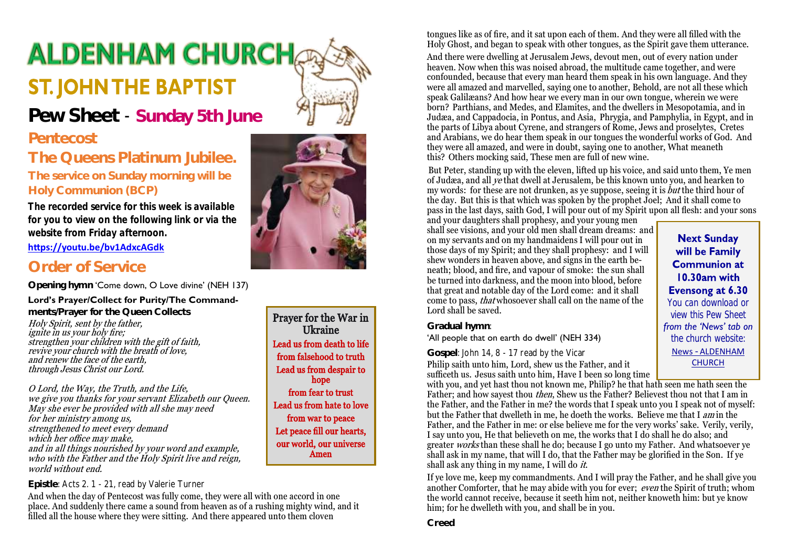# **ALDENHAM CHURCH ST. JOHN THE BAPTIST**



## **Pew Sheet** - **Sunday 5th June**

## **Pentecost**

## **The Queens Platinum Jubilee.**

**The service on Sunday morning will be Holy Communion (BCP)**

*The recorded service for this week is available for you to view on the following link or via the website from Friday afternoon.*

**<https://youtu.be/bv1AdxcAGdk>**

## **Order of Service**

**Opening hymn** 'Come down, O Love divine' (NEH 137)

#### **Lord's Prayer/Collect for Purity/The Command-**

**ments/Prayer for the Queen Collects** Holy Spirit, sent by the father, ignite in us your holy fire; strengthen your children with the gift of faith, revive your church with the breath of love, and renew the face of the earth, through Jesus Christ our Lord.

O Lord, the Way, the Truth, and the Life, we give you thanks for your servant Elizabeth our Queen. May she ever be provided with all she may need for her ministry among us, strengthened to meet every demand which her office may make, and in all things nourished by your word and example, who with the Father and the Holy Spirit live and reign. world without end.

#### **Epistle**: Acts 2. 1 - 21, read by Valerie Turner

And when the day of Pentecost was fully come, they were all with one accord in one place. And suddenly there came a sound from heaven as of a rushing mighty wind, and it filled all the house where they were sitting. And there appeared unto them cloven



Prayer for the War in Ukraine Lead us from death to life from falsehood to truth Lead us from despair to hope from fear to trust Lead us from hate to love from war to peace Let peace fill our hearts, our world, our universe Amen

tongues like as of fire, and it sat upon each of them. And they were all filled with the Holy Ghost, and began to speak with other tongues, as the Spirit gave them utterance.

And there were dwelling at Jerusalem Jews, devout men, out of every nation under heaven. Now when this was noised abroad, the multitude came together, and were confounded, because that every man heard them speak in his own language. And they were all amazed and marvelled, saying one to another, Behold, are not all these which speak Galilæans? And how hear we every man in our own tongue, wherein we were born? Parthians, and Medes, and Elamites, and the dwellers in Mesopotamia, and in Judæa, and Cappadocia, in Pontus, and Asia, Phrygia, and Pamphylia, in Egypt, and in the parts of Libya about Cyrene, and strangers of Rome, Jews and proselytes, Cretes and Arabians, we do hear them speak in our tongues the wonderful works of God. And they were all amazed, and were in doubt, saying one to another, What meaneth this? Others mocking said, These men are full of new wine.

But Peter, standing up with the eleven, lifted up his voice, and said unto them, Ye men of Judæa, and all ye that dwell at Jerusalem, be this known unto you, and hearken to my words: for these are not drunken, as ye suppose, seeing it is  $but$  the third hour of the day. But this is that which was spoken by the prophet Joel; And it shall come to pass in the last days, saith God, I will pour out of my Spirit upon all flesh: and your sons

and your daughters shall prophesy, and your young men shall see visions, and your old men shall dream dreams: and on my servants and on my handmaidens I will pour out in those days of my Spirit; and they shall prophesy: and I will shew wonders in heaven above, and signs in the earth beneath; blood, and fire, and vapour of smoke: the sun shall be turned into darkness, and the moon into blood, before that great and notable day of the Lord come: and it shall come to pass, that whosoever shall call on the name of the Lord shall be saved.

#### **Next Sunday** will be Family **Communion at** 10.30am with Evensong at 6.30 *You can download or view this Pew Sheet from the 'News' tab on the church website:* News - [ALDENHAM](https://aldenhamchurch.com/news/)  **[CHURCH](https://aldenhamchurch.com/news/)**

**Gradual hymn**:

#### 'All people that on earth do dwell' (NEH 334)

#### **Gospel**: John 14, 8 - 17 read by the Vicar

Philip saith unto him, Lord, shew us the Father, and it sufficeth us. Jesus saith unto him, Have I been so long time

with you, and yet hast thou not known me, Philip? he that hath seen me hath seen the Father; and how say est thou *then*, Shew us the Father? Believest thou not that I am in the Father, and the Father in me? the words that I speak unto you I speak not of myself: but the Father that dwelleth in me, he doeth the works. Believe me that I am in the Father, and the Father in me: or else believe me for the very works' sake. Verily, verily, I say unto you, He that believeth on me, the works that I do shall he do also; and greater works than these shall he do; because I go unto my Father. And whatsoever ye shall ask in my name, that will I do, that the Father may be glorified in the Son. If ye shall ask any thing in my name, I will do it.

If ye love me, keep my commandments. And I will pray the Father, and he shall give you another Comforter, that he may abide with you for ever; even the Spirit of truth; whom the world cannot receive, because it seeth him not, neither knoweth him: but ye know him; for he dwelleth with you, and shall be in you.